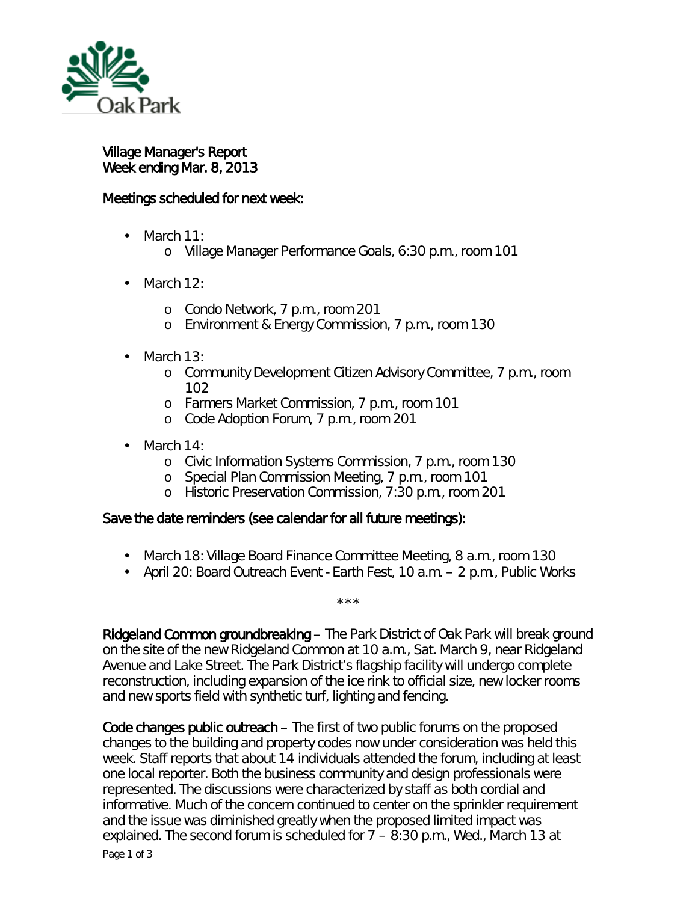

Village Manager's Report Week ending Mar. 8, 2013

## Meetings scheduled for next week:

- March 11:  $\mathcal{L}^{\text{max}}$ 
	- o Village Manager Performance Goals, 6:30 p.m., room 101
- March 12:  $\overline{a}$ 
	- o Condo Network, 7 p.m., room 201
	- o Environment & Energy Commission, 7 p.m., room 130
- March 13:

ä,

- o Community Development Citizen Advisory Committee, 7 p.m., room 102
- o Farmers Market Commission, 7 p.m., room 101
- <sup>o</sup> Code Adoption Forum, 7 p.m., room 201
- March 14:
	- o Civic Information Systems Commission, 7 p.m., room 130
	- o Special Plan Commission Meeting, 7 p.m., room 101
	- o Historic Preservation Commission, 7:30 p.m., room 201

## Save the date reminders (see calendar for all future meetings):

- March 18: Village Board Finance Committee Meeting, 8 a.m., room 130
- April 20: Board Outreach Event Earth Fest, 10 a.m. 2 p.m., Public Works

\*\*\*

Ridgeland Common groundbreaking – The Park District of Oak Park will break ground on the site of the new Ridgeland Common at 10 a.m., Sat. March 9, near Ridgeland Avenue and Lake Street. The Park District's flagship facility will undergo complete reconstruction, including expansion of the ice rink to official size, new locker rooms and new sports field with synthetic turf, lighting and fencing.

Code changes public outreach – The first of two public forums on the proposed changes to the building and property codes now under consideration was held this week. Staff reports that about 14 individuals attended the forum, including at least one local reporter. Both the business community and design professionals were represented. The discussions were characterized by staff as both cordial and informative. Much of the concern continued to center on the sprinkler requirement and the issue was diminished greatly when the proposed limited impact was explained. The second forum is scheduled for 7 – 8:30 p.m., Wed., March 13 at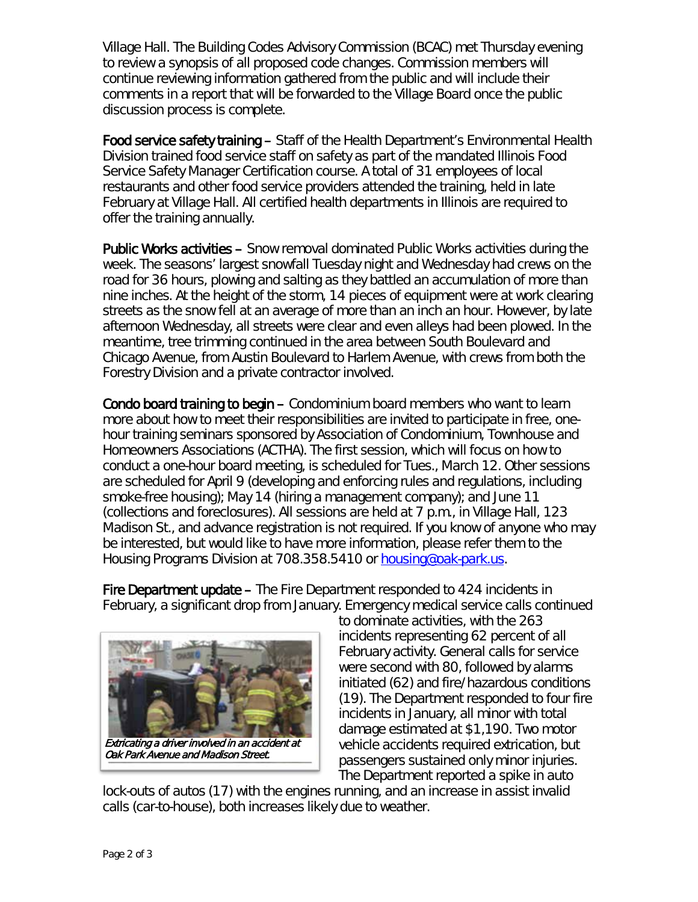Village Hall. The Building Codes Advisory Commission (BCAC) met Thursday evening to review a synopsis of all proposed code changes. Commission members will continue reviewing information gathered from the public and will include their comments in a report that will be forwarded to the Village Board once the public discussion process is complete.

Food service safety training – Staff of the Health Department's Environmental Health Division trained food service staff on safety as part of the mandated Illinois Food Service Safety Manager Certification course. A total of 31 employees of local restaurants and other food service providers attended the training, held in late February at Village Hall. All certified health departments in Illinois are required to offer the training annually.

Public Works activities – Snow removal dominated Public Works activities during the week. The seasons' largest snowfall Tuesday night and Wednesday had crews on the road for 36 hours, plowing and salting as they battled an accumulation of more than nine inches. At the height of the storm, 14 pieces of equipment were at work clearing streets as the snow fell at an average of more than an inch an hour. However, by late afternoon Wednesday, all streets were clear and even alleys had been plowed. In the meantime, tree trimming continued in the area between South Boulevard and Chicago Avenue, from Austin Boulevard to Harlem Avenue, with crews from both the Forestry Division and a private contractor involved.

Condo board training to begin – Condominium board members who want to learn more about how to meet their responsibilities are invited to participate in free, onehour training seminars sponsored by Association of Condominium, Townhouse and Homeowners Associations (ACTHA). The first session, which will focus on how to conduct a one-hour board meeting, is scheduled for Tues., March 12. Other sessions are scheduled for April 9 (developing and enforcing rules and regulations, including smoke-free housing); May 14 (hiring a management company); and June 11 (collections and foreclosures). All sessions are held at 7 p.m., in Village Hall, 123 Madison St., and advance registration is not required. If you know of anyone who may be interested, but would like to have more information, please refer them to the Housing Programs Division at 708.358.5410 or [housing@oak-park.us.](mailto:housing@oak-park.us)

Fire Department update – The Fire Department responded to 424 incidents in February, a significant drop from January. Emergency medical service calls continued



to dominate activities, with the 263 incidents representing 62 percent of all February activity. General calls for service were second with 80, followed by alarms initiated (62) and fire/hazardous conditions (19). The Department responded to four fire incidents in January, all minor with total damage estimated at \$1,190. Two motor vehicle accidents required extrication, but passengers sustained only minor injuries. The Department reported a spike in auto

lock-outs of autos (17) with the engines running, and an increase in assist invalid calls (car-to-house), both increases likely due to weather.